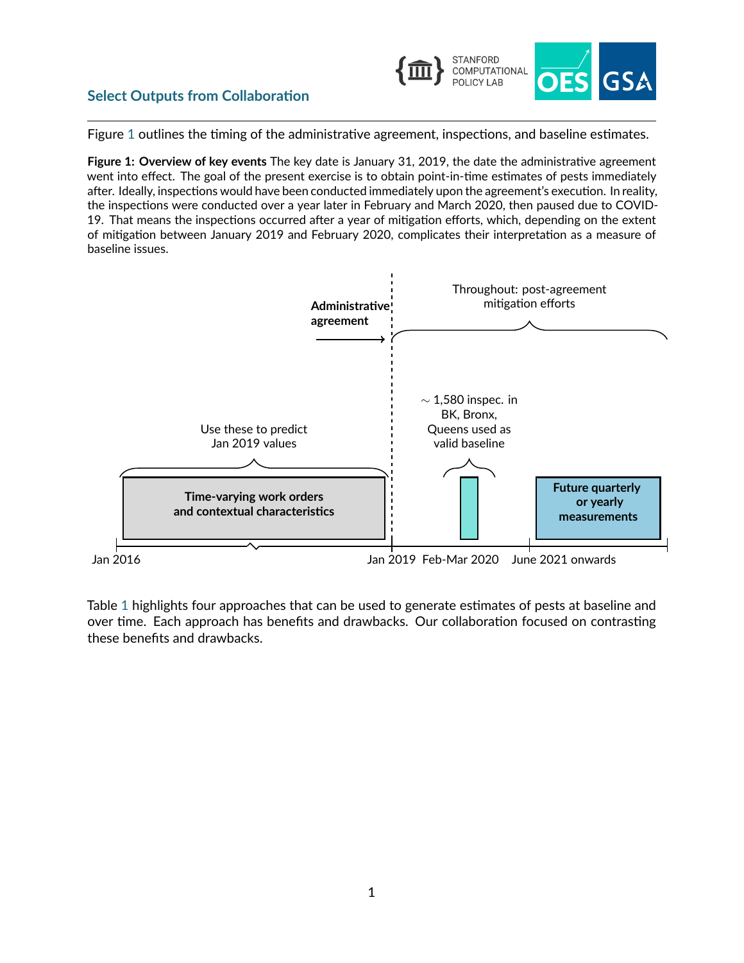

## **Select Outputs from Collaboration**

Figure [1](#page-0-0) outlines the timing of the administrative agreement, inspections, and baseline estimates.

<span id="page-0-0"></span>**Figure 1: Overview of key events** The key date is January 31, 2019, the date the administrative agreement went into effect. The goal of the present exercise is to obtain point-in-time estimates of pests immediately after. Ideally, inspections would have been conducted immediately upon the agreement's execution. In reality, the inspections were conducted over a year later in February and March 2020, then paused due to COVID‐ 19. That means the inspections occurred after a year of mitigation efforts, which, depending on the extent of mitigation between January 2019 and February 2020, complicates their interpretation as a measure of baseline issues.



Table [1](#page-1-0) highlights four approaches that can be used to generate estimates of pests at baseline and over time. Each approach has benefits and drawbacks. Our collaboration focused on contrasting these benefits and drawbacks.